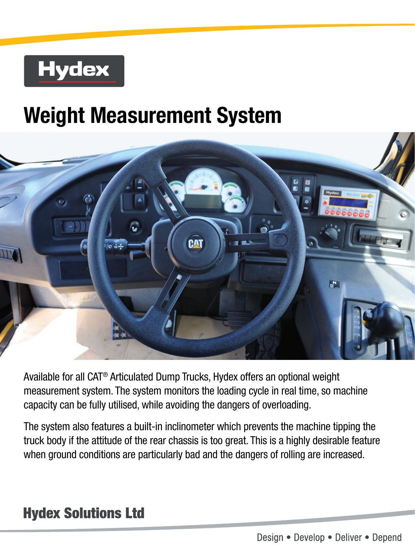## **Hydex**

## **Weight Measurement System**



Available for all CAT® Articulated Dump Trucks, Hydex offers an optional weight measurement system. The system monitors the loading cycle in real time, so machine capacity can be fully utilised, while avoiding the dangers of overloading.

The system also features a built-in inclinometer which prevents the machine tipping the truck body if the attitude of the rear chassis is too great. This is a highly desirable feature when ground conditions are particularly bad and the dangers of rolling are increased.

## **Hydex Solutions Ltd**